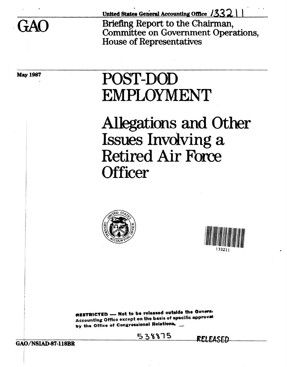

United States General Accounting Office 1332 Briefing Report to the Chairman, **Committee on Government Operations, House of Representatives** 

**May 1987** 

# POST-DOD EMPLOYMENT

Allegations and Other Issues Involving a **Retired Air Force Officer** 





**RESTRICTED --- Not to be released outside the General** Accounting Office except on the basis of specific approval by the Office of Congressional Relations,

538875 RELEASED

GAO/NSIAD-87-118BR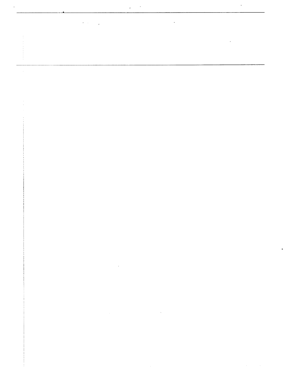|                                                                   | $\mathcal{L}(\mathbf{z})$ and $\mathcal{L}(\mathbf{z})$ and $\mathcal{L}(\mathbf{z})$                                                                                                                                                            |  | $\mathcal{L}^{\text{max}}(\mathbf{A})$ .                                                   |
|-------------------------------------------------------------------|--------------------------------------------------------------------------------------------------------------------------------------------------------------------------------------------------------------------------------------------------|--|--------------------------------------------------------------------------------------------|
|                                                                   | is the following the contribution of the contribution of the contribution of the contribution of the contribution of the contribution of the contribution of the contribution of the contribution of the contribution of the                     |  |                                                                                            |
|                                                                   |                                                                                                                                                                                                                                                  |  | $\mathcal{L}(\mathcal{L}(\mathcal{L}))$ and $\mathcal{L}(\mathcal{L}(\mathcal{L}))$ . Then |
|                                                                   |                                                                                                                                                                                                                                                  |  |                                                                                            |
|                                                                   |                                                                                                                                                                                                                                                  |  |                                                                                            |
| $\mathcal{O}(\mathcal{O}(n))$ . The $\mathcal{O}(\mathcal{O}(n))$ |                                                                                                                                                                                                                                                  |  |                                                                                            |
|                                                                   |                                                                                                                                                                                                                                                  |  |                                                                                            |
|                                                                   |                                                                                                                                                                                                                                                  |  |                                                                                            |
|                                                                   |                                                                                                                                                                                                                                                  |  |                                                                                            |
|                                                                   |                                                                                                                                                                                                                                                  |  |                                                                                            |
|                                                                   |                                                                                                                                                                                                                                                  |  |                                                                                            |
|                                                                   |                                                                                                                                                                                                                                                  |  |                                                                                            |
|                                                                   |                                                                                                                                                                                                                                                  |  |                                                                                            |
|                                                                   |                                                                                                                                                                                                                                                  |  |                                                                                            |
|                                                                   |                                                                                                                                                                                                                                                  |  |                                                                                            |
|                                                                   |                                                                                                                                                                                                                                                  |  |                                                                                            |
|                                                                   |                                                                                                                                                                                                                                                  |  |                                                                                            |
|                                                                   |                                                                                                                                                                                                                                                  |  |                                                                                            |
|                                                                   |                                                                                                                                                                                                                                                  |  |                                                                                            |
|                                                                   | $\mathcal{L}(\mathcal{L}^{\mathcal{L}})$ and $\mathcal{L}(\mathcal{L}^{\mathcal{L}})$ and $\mathcal{L}(\mathcal{L}^{\mathcal{L}})$ and $\mathcal{L}(\mathcal{L}^{\mathcal{L}})$                                                                  |  |                                                                                            |
|                                                                   |                                                                                                                                                                                                                                                  |  |                                                                                            |
|                                                                   |                                                                                                                                                                                                                                                  |  |                                                                                            |
|                                                                   | $\mathcal{L}(\mathcal{L}(\mathcal{L}))$ and the set of the set of the set of the set of the set of the set of the set of the set of the set of the set of the set of the set of the set of the set of the set of the set of the set of the set o |  |                                                                                            |
|                                                                   |                                                                                                                                                                                                                                                  |  |                                                                                            |
|                                                                   |                                                                                                                                                                                                                                                  |  |                                                                                            |

 $\hat{A}$ 

 $\hat{\bullet}$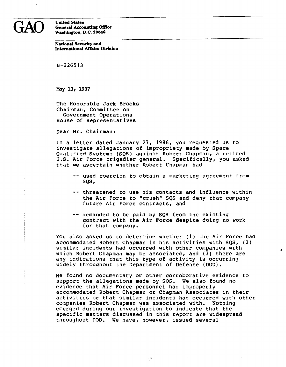# United States<br>
GAO General Accounting Office<br>
Washington, D.C. 20548 General Accounting Office Washington, D.C. 20648

#### National Security and International Affairs Division

B-226513

May 13, 1987

The Honorable Jack Brooks Chairman, Committee on Government Operations House of Representatives

Dear Mr. Chairman:

In a letter dated January 27, 1986, you requested us to investigate allegations of impropriety made by Space Qualified Systems (SQS) against Robert Chapman, a retired U.S. Air Force brigadier general. Specifically, you asked that we ascertain whether Robert Chapman had

- -- used coercion to obtain a marketing agreement from  $SOS.$
- -- threatened to use his contacts and influence within the Air Force to "crush" SQS and deny that company future Air Force contracts, and
- -- demanded to be paid by SQS from the existing contract with the Air Force despite doing no work for that company.

You also asked us to determine whether (1) the Air Force had accommodated Robert Chapman in his activities with SQS, (2) similar incidents had occurred with other companies with which Robert Chapman may be associated, and (3) there are any indications that this type of activity is occurring widely throughout the Department of Defense (DOD).

We found no documentary or other corroborative evidence to support the allegations made by SQS. We also found no evidence that Air Force personnel had improperly accommodated Robert Chapman or Chapman Associates in their activities or that similar incidents had occurred with other companies Robert Chapman was associated with. Nothing emerged during our investigation to indicate that the specific matters discussed in this report are widespread throughout DOD. We have, however, issued several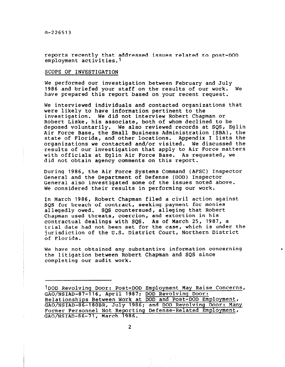reports recently that addressed issues related to post-DOD employment activities.1

# SCOPE OF INVESTIGATION

We performed our investigation between February and July 1986 and briefed your staff on the results of our work. We have prepared this report based on your recent request.

We interviewed individuals and contacted organizations that were likely to have information pertinent to the investigation. We did not interview Robert Chapman or Robert Liske, his associate, both of whom declined to be deposed voluntarily. We also reviewed records at SQS, Eglin Air Force Base, the Small Business Administration (SBA), the state of Florida, and other locations. Appendix I lists the organizations we contacted and/or visited. We discussed the results of our investigation that apply to Air Force matter with officials at Eglin Air Force Base. As requested, we did not obtain agency comments on this report.

During 1986, the Air Force Systems Command (AFSC) Inspector General and the Department of Defense (DOD) Inspector General also investigated some of the issues noted above. We considered their results in performing our work.

In March 1986, Robert Chapman filed a civil action against SQS for breach of contract, seeking payment for monies allegedly owed. SQS countersued, alleging that Robert Chapman used threats, coercion, and extortion in his contractual dealings with SQS. As of March 25, 1987, a trial date had not been set for the case, which is under the jurisdiction of the U.S. District Court, Northern District of Florida.

We have not obtained any substantive information concerning the litigation between Robert Chapman and SQS since completing our audit work.

1DOD Revolving Door: Post-DOD Employment May Raise Concerns, GAO/NSIAD-87-116, April 1987; DOD Revolving Door: Relationships Between Work at DOD and Post-DOD Employment, GAO/NSIAD-86-180BR, July 1986; and DOD Revolving Door: Many Former Personnel Not Reporting Defense-Related Employment, GAO/NSIAD-86-71, March 1986.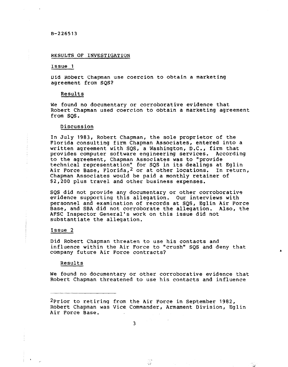# B-226513

#### RESULTS OF INVESTIGATION

#### Issue 1

Did Robert Chapman use coercion to obtain a marketing agreement from SQS?

#### Results

We found no documentary or corroborative evidence that Robert Chapman used coercion to obtain a marketing agreement from SQS.

#### Discussion

In July 1983, Robert Chapman, the sole proprietor of the Florida consulting firm Chapman Associates, entered into a written agreement with SQS, a Washington, D.C., firm that provides computer software engineering services. According to the agreement, Chapman Associates was to "provide technical representation" for SQS in its dealings at Egli Air Force Base, Florida, $^2$  or at other locations. In retur Chapman Associates would be paid a monthly retainer of \$2,200 plus travel and other business expenses.

SQS did not provide any documentary or other corroborative evidence supporting this allegation. Our interviews with personnel and examination of records at SQS, Eglin Air Force Base, and SBA did not corroborate the allegation. Also, the AFSC Inspector General's work on this issue did not substantiate the allegation.

#### Issue 2

Did Robert Chapman threaten to use his contacts and influence within the Air Force to "crush" SQS and deny that company future Air Force contracts?

#### Results

We found no documentary or other corroborative evidence that Robert Chapman threatened to use his contacts and influence

2Prior to retiring from the Air Force in September 1982, Robert Chapman was Vice Commander, Armament Division, Eglin Air Force Base.

 $\sim 10$ 

 $\mathcal{L}_{\mathcal{A}}$ 

3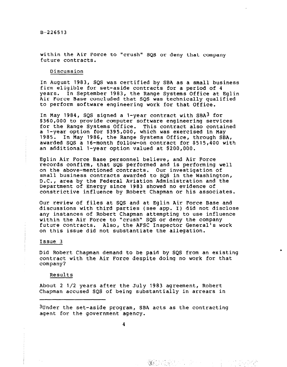within the Air Force to "crush" SQS or deny that company future contracts.

# Discussion

In August 1983, SQS was certified by SBA as a small business firm eligible for set-aside contracts for a period of 4 years. In September 1983, the Range Systems Office at Eglin Air Force Base concluded that SQS was technically qualified to perform software engineering work for that Office.

In May 1984, SQS signed a l-year contract with SBA3 for \$360,000 to provide computer software engineering services for the Range Systems Office. This contract also containe a l-year option for \$395,000, which was exercised in May 1985. In May 1986, the Range Systems Office, through SBA, awarded SQS a 16-month follow-on contract for \$515,400 with an additional l-year option valued at \$200,000.

Eglin Air Force Base personnel believe, and Air Force records confirm, that SQS performed and is performing well on the above-mentioned contracts. Our investiqation of small business contracts awarded to SQS in the Washington, D.C., area by the Federal Aviation Administration and the Department of Energy since 1983 showed no evidence of constrictive influence by Robert Chapman or his associates.

Our review of files at SQS and at Eglin Air Force Base and discussions with third parties (see app. I) did not disclose any instances of Robert Chapman attempting to use influence within the Air Force to "crush" SQS or deny the company future contracts. Also, the AFSC Inspector General's work on this issue did not substantiate the allegation.

#### Issue 3

Did Robert Chapman demand to be paid by SQS from an existing contract with the Air Force despite doing no work for that company?

#### Results

About 2 l/2 years after the July 1983 agreement, Robert Chapman accused SQS of being substantially in arrears in

3Under the set-aside program, SBA acts as the contracting agent for the government agency.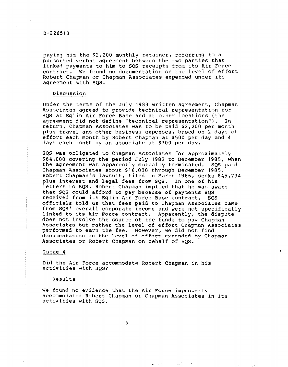#### B-226513

paying him the \$2,200 monthly retainer, referring to a purported verbal agreement between the two parties that linked payments to him to SQS receipts from its Air Force contract. We found no documentation on the level of effort Robert Chapman or Chapman Associates expended under its agreement with SQS.

# Discussion

Under the terms of the July 1983 written agreement, Chapman Associates agreed to provide technical representation for SQS at Eglin Air Force Base and at other locations (the agreement did not define "technical representation"). In return, Chapman Associates was to be paid \$2,200 per month plus travel and other business expenses, based on 2 days of effort each month by Robert Chapman at \$500 per day and 4 days each month by an associate at \$300 per day.

SQS was obligated to Chapman Associates for approximately \$64,000 covering the period July 1983 to December 1985, when the agreement was apparently mutually terminated. SQS paid Chapman Associates about \$16,000 through December 1985. Robert Chapman's lawsuit, filed in March 1986, seeks \$45,734 plus interest and legal fees from SQS. In one of his letters to SQS, Robert Chapman implied that he was aware that SQS could afford to pay because of payments SQS received from its Eglin Air Force Base contract. SQS officials told us that fees paid to Chapman Associates came from SQS' overall corporate income and were not specifically linked to its Air Force contract. Apparently, the dispute does not involve the source of the funds to pay Chapman Associates but rather the level of effort Chapman Associates performed to earn the fee. However, we did not find documentation on the level of effort expended by Chapman Associates or Robert Chapman on behalf of SQS.

#### Issue 4

Did the Air Force accommodate Robert Chapman in his activities with SQS?

#### Results

We found no evidence that the Air Force improperly accommodated Robert Chapman or Chapman Associates in its activities with SQS.

والمستحدث والمتعاون

Margaret and Constitution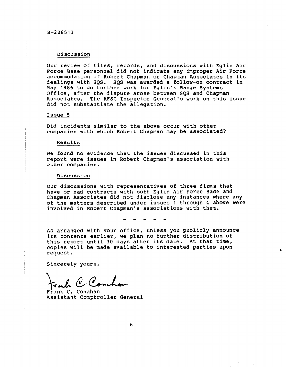#### Discussion

Our review of files, records, and discussions with Eglin Air Force Base personnel did not indicate any improper Air Force accommodation of Robert Chapman or Chapman Associates in its dealings with SQS. SQS was awarded a follow-on contract in May 1986 to do further work for Eglin's Range Systems Office, after the dispute arose between SQS and Chapman Associates. The AFSC Inspector General's work on this issue did not substantiate the allegation.

#### Issue 5

Did incidents similar to the above occur with other companies with which Robert Chapman may be associated?

#### Results

We found no evidence that the issues discussed in this report were issues in Robert Chapman's association with other companies.

# Discussion

Our discussions with representatives of three firms that have or had contracts with both Eglin Air Force Base and Chapman Associates did not disclose any instances where any of the matters described under issues 1 through 4 above were involved in Robert Chapman's associations with them.

As arranged with your office, unless you publicly announce its contents earlier, we plan no further distribution of this report until 30 days after its date. At that time, copies will be made available to interested parties upon request.

Sincerely yours,

 $O$ 

Frank C. Conahan Assistant Comptroller General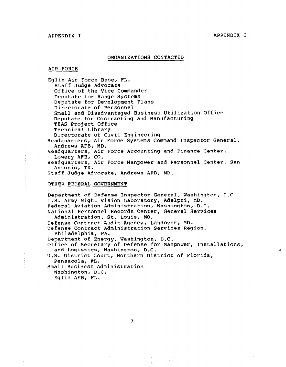#### APPENDIX I

#### APPENDIX I

#### ORGANIZATIONS CONTACTED

# AIR FORCE

Eglin Air Force Base, FL. Staff Judge Advocate Office of the Vice Commander Deputate for Range Systems Deputate for Development Plans Directorate of Personnel Small and Disadvantaged Business Utilization Office Deputate for Contracting and Manufacturing TEAS Project Office Technical Library Directorate of Civil Engineering Headquarters, Air Force Systems Command Inspector General, Andrews AFB, MD. Headquarters, Air Force Accounting and Finance Center, Lowery AFB, CO. Headquarters, Air Force Manpower and Personnel Center, San Antonio, TX. Staff Judge Advocate, Andrews AFB, MD. OTHER FEDERAL GOVERNMENT Department of Defense Inspector General, Washington, D.C. U.S. Army Night Vision Laboratory, Adelphi, MD. Federal Aviation Administration, Washington, D.C. National Personnel Records Center, General Services Administration, St. Louis, MO. Defense Contract Audit Agency, Landover, MD. Defense Contract Administration Services Region, Philadelphia, PA. Department of Energy, Washington, D.C. Office of Secretary of Defense for Manpower, Installations, and Logistics, Washington, D.C. U.S. District Court, Northern District of Florida, Pensacola, FL. Small Business Administration Washington, D.C.

Eglin AFB, FL.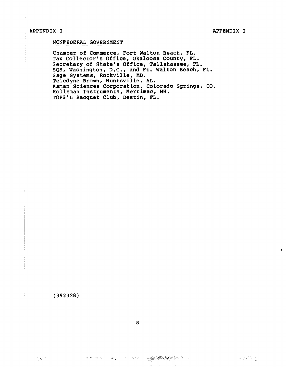**トーバ 飛びき** 

# NONFEDERAL GOVERNMENT

Chamber of Commerce, Fort Walton Beach, FL. Tax Collector's Office, Okaloosa County, FL. Secretary of State's Office, Tallahassee, FL. SOS, Washington, D.C., and Ft. Walton Beach, FL. Sage Systems, Rockville, MD. Teledyne Brown, Huntsville, AL. Kaman Sciences Corporation, Colorado Springs, CO. Kollsman Instruments, Merrimac, NH. TOPS'L Racquet Club, Destin, FL.

(392328)

 $\label{eq:1} \mathcal{F}^{(1)}(x) = \sum_{\alpha \in \mathcal{A}} \mathcal{F}^{(1)}(x) \mathcal{F}^{(1)}(x)$ 

 $\sim 10^{-10}$ 

人名德埃尔 计数字数据 化硫酸盐 医骨髓囊突 人名阿尔科 经出口的公司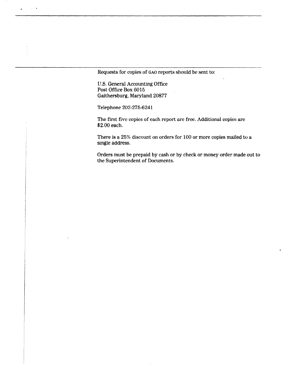Requests for copies of GAO reports should be sent to:

U.S. General Accounting Office Post Office Box 6015 Gaithersburg, Maryland 20877

Telephone 202-276-6241

.

 $\mathcal{A}$ 

The first five copies of each report are free. Additional copies are \$2.00 each.

There is a 25% discount on orders for 100 or more copies mailed to a single address.

Orders must be prepaid by cash or by check or money order made out to the Superintendent of Documents.